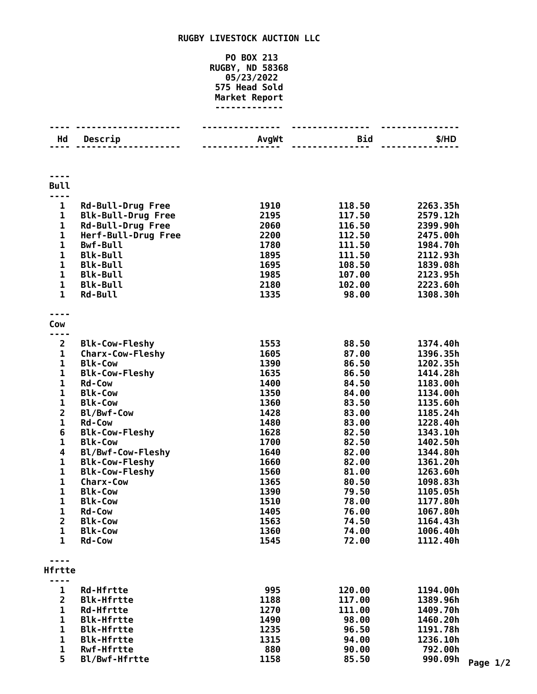## **RUGBY LIVESTOCK AUCTION LLC**

## **PO BOX 213 RUGBY, ND 58368 05/23/2022 Head Sold Market Report -------------**

| Hd                    | Descrip                   | AvgWt | <b>Bid</b> | \$/HD               |
|-----------------------|---------------------------|-------|------------|---------------------|
|                       |                           |       |            |                     |
| <b>Bull</b>           |                           |       |            |                     |
|                       |                           |       |            |                     |
| $\mathbf{1}$          | <b>Rd-Bull-Drug Free</b>  | 1910  | 118.50     | 2263.35h            |
| $\mathbf{1}$          | <b>Blk-Bull-Drug Free</b> | 2195  | 117.50     | 2579.12h            |
| $\mathbf{1}$          | <b>Rd-Bull-Drug Free</b>  | 2060  | 116.50     | 2399.90h            |
| $\mathbf{1}$          | Herf-Bull-Drug Free       | 2200  | 112.50     | 2475.00h            |
| $\mathbf 1$           | <b>Bwf-Bull</b>           | 1780  | 111.50     | 1984.70h            |
| 1                     | <b>Blk-Bull</b>           | 1895  | 111.50     | 2112.93h            |
| $\mathbf 1$           | <b>Blk-Bull</b>           | 1695  | 108.50     | 1839.08h            |
| $\mathbf{1}$          | <b>Blk-Bull</b>           | 1985  | 107.00     | 2123.95h            |
| $\mathbf 1$           | <b>Blk-Bull</b>           | 2180  | 102.00     | 2223.60h            |
| $\mathbf{1}$          | Rd-Bull                   | 1335  | 98.00      | 1308.30h            |
|                       |                           |       |            |                     |
| Cow                   |                           |       |            |                     |
|                       |                           |       |            |                     |
| $\overline{2}$        | <b>Blk-Cow-Fleshy</b>     | 1553  | 88.50      | 1374.40h            |
| $\mathbf 1$           | <b>Charx-Cow-Fleshy</b>   | 1605  | 87.00      | 1396.35h            |
| $\mathbf{1}$          | <b>Blk-Cow</b>            | 1390  | 86.50      | 1202.35h            |
| 1                     | <b>Blk-Cow-Fleshy</b>     | 1635  | 86.50      | 1414.28h            |
| 1                     | <b>Rd-Cow</b>             | 1400  | 84.50      | 1183.00h            |
| $\mathbf{1}$          | <b>Blk-Cow</b>            | 1350  | 84.00      | 1134.00h            |
| 1                     | <b>Blk-Cow</b>            | 1360  | 83.50      | 1135.60h            |
| $\mathbf{2}$          | Bl/Bwf-Cow                | 1428  | 83.00      | 1185.24h            |
| 1                     | <b>Rd-Cow</b>             | 1480  | 83.00      | 1228.40h            |
| 6                     | <b>Blk-Cow-Fleshy</b>     | 1628  | 82.50      | 1343.10h            |
| 1                     | <b>Blk-Cow</b>            | 1700  | 82.50      | 1402.50h            |
| 4                     | Bl/Bwf-Cow-Fleshy         | 1640  | 82.00      | 1344.80h            |
| 1                     | <b>Blk-Cow-Fleshy</b>     | 1660  | 82.00      | 1361.20h            |
| 1                     | <b>Blk-Cow-Fleshy</b>     | 1560  | 81.00      | 1263.60h            |
| 1                     | <b>Charx-Cow</b>          | 1365  | 80.50      | 1098.83h            |
| 1                     | <b>Blk-Cow</b>            | 1390  | 79.50      | 1105.05h            |
| 1                     | <b>Blk-Cow</b>            | 1510  | 78.00      | 1177.80h            |
| 1                     | <b>Rd-Cow</b>             | 1405  | 76.00      | 1067.80h            |
| 2                     | <b>Blk-Cow</b>            | 1563  | 74.50      | 1164.43h            |
| 1                     | <b>Blk-Cow</b>            | 1360  | 74.00      | 1006.40h            |
| 1                     | <b>Rd-Cow</b>             | 1545  | 72.00      | 1112.40h            |
|                       |                           |       |            |                     |
| Hfrtte                |                           |       |            |                     |
| - - -<br>$\mathbf{1}$ | <b>Rd-Hfrtte</b>          | 995   | 120.00     | 1194.00h            |
| $\overline{2}$        | <b>Blk-Hfrtte</b>         | 1188  | 117.00     | 1389.96h            |
| 1                     | <b>Rd-Hfrtte</b>          | 1270  | 111.00     | 1409.70h            |
| 1                     | <b>Blk-Hfrtte</b>         | 1490  | 98.00      | 1460.20h            |
|                       | <b>Blk-Hfrtte</b>         | 1235  | 96.50      | 1191.78h            |
| 1                     |                           |       |            |                     |
| 1                     | <b>Blk-Hfrtte</b>         | 1315  | 94.00      |                     |
| 1                     | <b>Rwf-Hfrtte</b>         | 880   | 90.00      | 1236.10h<br>792.00h |